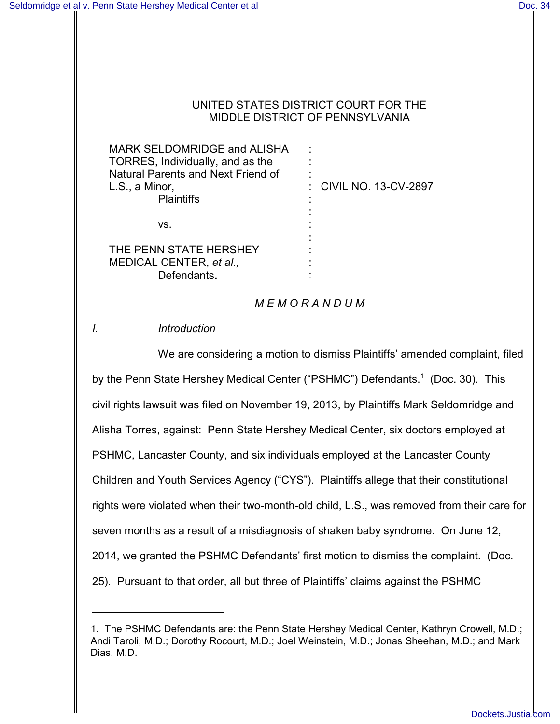#### UNITED STATES DISTRICT COURT FOR THE MIDDLE DISTRICT OF PENNSYLVANIA

| MARK SELDOMRIDGE and ALISHA        |                        |
|------------------------------------|------------------------|
| TORRES, Individually, and as the   |                        |
| Natural Parents and Next Friend of |                        |
| L.S., a Minor,                     | : CIVIL NO. 13-CV-2897 |
| <b>Plaintiffs</b>                  |                        |
|                                    |                        |
| VS.                                |                        |
|                                    |                        |
| THE PENN STATE HERSHEY             |                        |
| MEDICAL CENTER, et al.,            |                        |
| Defendants.                        |                        |
|                                    |                        |

## *M E M O R A N D U M*

# *I. Introduction*

We are considering a motion to dismiss Plaintiffs' amended complaint, filed by the Penn State Hershey Medical Center ("PSHMC") Defendants.<sup>1</sup> (Doc. 30). This civil rights lawsuit was filed on November 19, 2013, by Plaintiffs Mark Seldomridge and Alisha Torres, against: Penn State Hershey Medical Center, six doctors employed at PSHMC, Lancaster County, and six individuals employed at the Lancaster County Children and Youth Services Agency ("CYS"). Plaintiffs allege that their constitutional rights were violated when their two-month-old child, L.S., was removed from their care for seven months as a result of a misdiagnosis of shaken baby syndrome. On June 12, 2014, we granted the PSHMC Defendants' first motion to dismiss the complaint. (Doc. 25). Pursuant to that order, all but three of Plaintiffs' claims against the PSHMC

<sup>1.</sup> The PSHMC Defendants are: the Penn State Hershey Medical Center, Kathryn Crowell, M.D.; Andi Taroli, M.D.; Dorothy Rocourt, M.D.; Joel Weinstein, M.D.; Jonas Sheehan, M.D.; and Mark Dias, M.D.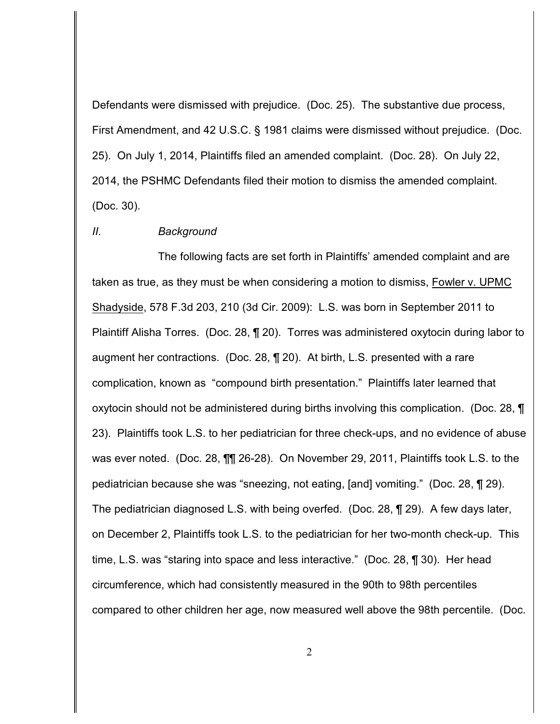Defendants were dismissed with prejudice. (Doc. 25). The substantive due process, First Amendment, and 42 U.S.C. § 1981 claims were dismissed without prejudice. (Doc. 25). On July 1, 2014, Plaintiffs filed an amended complaint. (Doc. 28). On July 22, 2014, the PSHMC Defendants filed their motion to dismiss the amended complaint. (Doc. 30).

## *II. Background*

The following facts are set forth in Plaintiffs' amended complaint and are taken as true, as they must be when considering a motion to dismiss, Fowler v. UPMC Shadyside, 578 F.3d 203, 210 (3d Cir. 2009): L.S. was born in September 2011 to Plaintiff Alisha Torres. (Doc. 28, ¶ 20). Torres was administered oxytocin during labor to augment her contractions. (Doc. 28, ¶ 20). At birth, L.S. presented with a rare complication, known as "compound birth presentation." Plaintiffs later learned that oxytocin should not be administered during births involving this complication. (Doc. 28, ¶ 23). Plaintiffs took L.S. to her pediatrician for three check-ups, and no evidence of abuse was ever noted. (Doc. 28, ¶¶ 26-28). On November 29, 2011, Plaintiffs took L.S. to the pediatrician because she was "sneezing, not eating, [and] vomiting." (Doc. 28, ¶ 29). The pediatrician diagnosed L.S. with being overfed. (Doc. 28, ¶ 29). A few days later, on December 2, Plaintiffs took L.S. to the pediatrician for her two-month check-up. This time, L.S. was "staring into space and less interactive." (Doc. 28, ¶ 30). Her head circumference, which had consistently measured in the 90th to 98th percentiles compared to other children her age, now measured well above the 98th percentile. (Doc.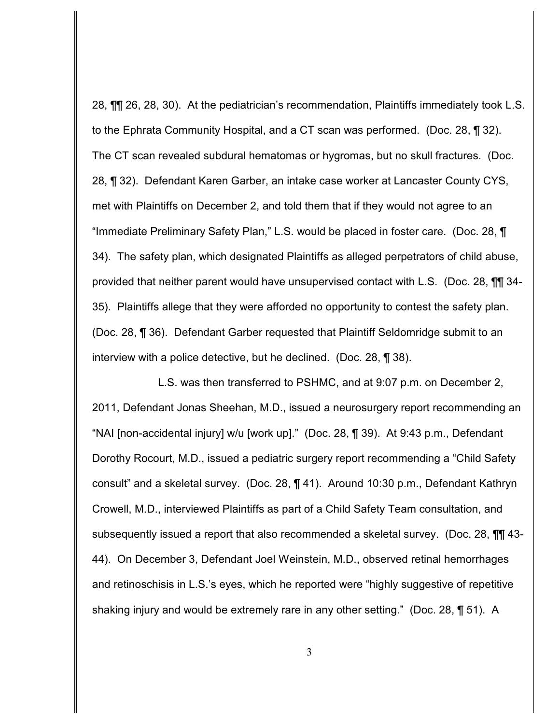28, ¶¶ 26, 28, 30). At the pediatrician's recommendation, Plaintiffs immediately took L.S. to the Ephrata Community Hospital, and a CT scan was performed. (Doc. 28, ¶ 32). The CT scan revealed subdural hematomas or hygromas, but no skull fractures. (Doc. 28, ¶ 32). Defendant Karen Garber, an intake case worker at Lancaster County CYS, met with Plaintiffs on December 2, and told them that if they would not agree to an "Immediate Preliminary Safety Plan," L.S. would be placed in foster care. (Doc. 28, ¶ 34). The safety plan, which designated Plaintiffs as alleged perpetrators of child abuse, provided that neither parent would have unsupervised contact with L.S. (Doc. 28, ¶¶ 34- 35). Plaintiffs allege that they were afforded no opportunity to contest the safety plan. (Doc. 28, ¶ 36). Defendant Garber requested that Plaintiff Seldomridge submit to an interview with a police detective, but he declined. (Doc. 28, ¶ 38).

L.S. was then transferred to PSHMC, and at 9:07 p.m. on December 2, 2011, Defendant Jonas Sheehan, M.D., issued a neurosurgery report recommending an "NAI [non-accidental injury] w/u [work up]." (Doc. 28, ¶ 39). At 9:43 p.m., Defendant Dorothy Rocourt, M.D., issued a pediatric surgery report recommending a "Child Safety consult" and a skeletal survey. (Doc. 28, ¶ 41). Around 10:30 p.m., Defendant Kathryn Crowell, M.D., interviewed Plaintiffs as part of a Child Safety Team consultation, and subsequently issued a report that also recommended a skeletal survey. (Doc. 28, ¶¶ 43- 44). On December 3, Defendant Joel Weinstein, M.D., observed retinal hemorrhages and retinoschisis in L.S.'s eyes, which he reported were "highly suggestive of repetitive shaking injury and would be extremely rare in any other setting." (Doc. 28, ¶ 51). A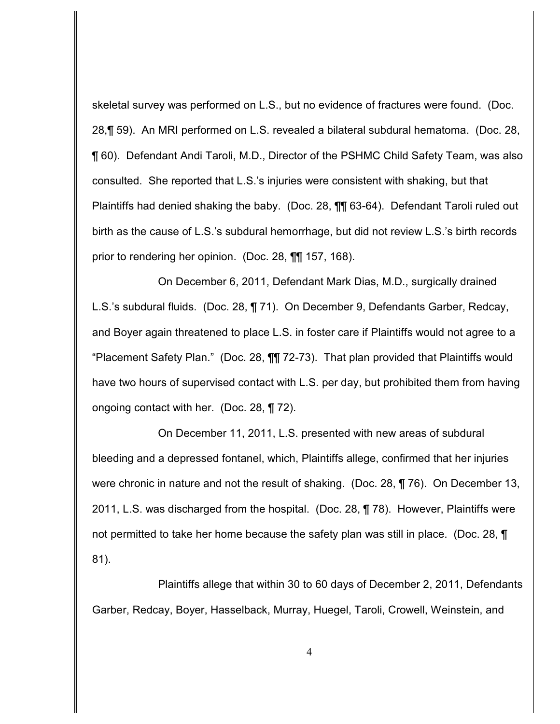skeletal survey was performed on L.S., but no evidence of fractures were found. (Doc. 28,¶ 59). An MRI performed on L.S. revealed a bilateral subdural hematoma. (Doc. 28, ¶ 60). Defendant Andi Taroli, M.D., Director of the PSHMC Child Safety Team, was also consulted. She reported that L.S.'s injuries were consistent with shaking, but that Plaintiffs had denied shaking the baby. (Doc. 28, ¶¶ 63-64). Defendant Taroli ruled out birth as the cause of L.S.'s subdural hemorrhage, but did not review L.S.'s birth records prior to rendering her opinion. (Doc. 28, ¶¶ 157, 168).

On December 6, 2011, Defendant Mark Dias, M.D., surgically drained L.S.'s subdural fluids. (Doc. 28, ¶ 71). On December 9, Defendants Garber, Redcay, and Boyer again threatened to place L.S. in foster care if Plaintiffs would not agree to a "Placement Safety Plan." (Doc. 28, ¶¶ 72-73). That plan provided that Plaintiffs would have two hours of supervised contact with L.S. per day, but prohibited them from having ongoing contact with her. (Doc. 28, ¶ 72).

On December 11, 2011, L.S. presented with new areas of subdural bleeding and a depressed fontanel, which, Plaintiffs allege, confirmed that her injuries were chronic in nature and not the result of shaking. (Doc. 28, ¶ 76). On December 13, 2011, L.S. was discharged from the hospital. (Doc. 28, ¶ 78). However, Plaintiffs were not permitted to take her home because the safety plan was still in place. (Doc. 28, ¶ 81).

Plaintiffs allege that within 30 to 60 days of December 2, 2011, Defendants Garber, Redcay, Boyer, Hasselback, Murray, Huegel, Taroli, Crowell, Weinstein, and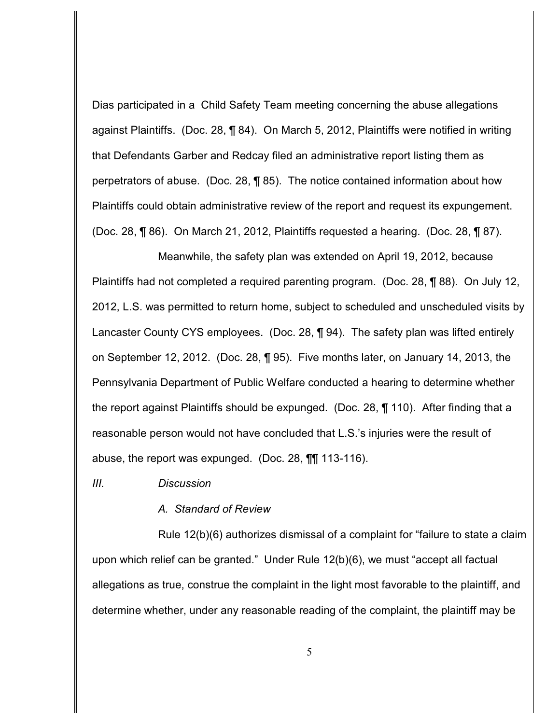Dias participated in a Child Safety Team meeting concerning the abuse allegations against Plaintiffs. (Doc. 28, ¶ 84). On March 5, 2012, Plaintiffs were notified in writing that Defendants Garber and Redcay filed an administrative report listing them as perpetrators of abuse. (Doc. 28, ¶ 85). The notice contained information about how Plaintiffs could obtain administrative review of the report and request its expungement. (Doc. 28, ¶ 86). On March 21, 2012, Plaintiffs requested a hearing. (Doc. 28, ¶ 87).

Meanwhile, the safety plan was extended on April 19, 2012, because Plaintiffs had not completed a required parenting program. (Doc. 28, ¶ 88). On July 12, 2012, L.S. was permitted to return home, subject to scheduled and unscheduled visits by Lancaster County CYS employees. (Doc. 28, ¶ 94). The safety plan was lifted entirely on September 12, 2012. (Doc. 28, ¶ 95). Five months later, on January 14, 2013, the Pennsylvania Department of Public Welfare conducted a hearing to determine whether the report against Plaintiffs should be expunged. (Doc. 28, ¶ 110). After finding that a reasonable person would not have concluded that L.S.'s injuries were the result of abuse, the report was expunged. (Doc. 28, ¶¶ 113-116).

*III. Discussion*

#### *A. Standard of Review*

Rule 12(b)(6) authorizes dismissal of a complaint for "failure to state a claim upon which relief can be granted." Under Rule 12(b)(6), we must "accept all factual allegations as true, construe the complaint in the light most favorable to the plaintiff, and determine whether, under any reasonable reading of the complaint, the plaintiff may be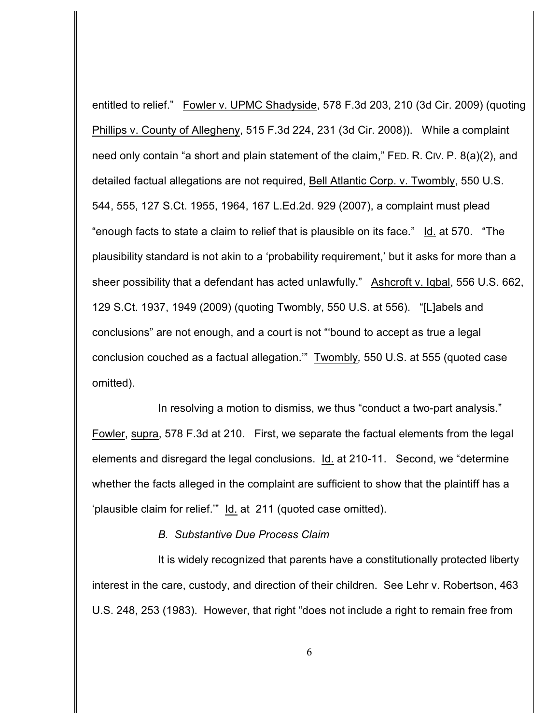entitled to relief." Fowler v. UPMC Shadyside, 578 F.3d 203, 210 (3d Cir. 2009) (quoting Phillips v. County of Allegheny, 515 F.3d 224, 231 (3d Cir. 2008)). While a complaint need only contain "a short and plain statement of the claim," FED. R. CIV. P. 8(a)(2), and detailed factual allegations are not required, Bell Atlantic Corp. v. Twombly, 550 U.S. 544, 555, 127 S.Ct. 1955, 1964, 167 L.Ed.2d. 929 (2007), a complaint must plead "enough facts to state a claim to relief that is plausible on its face." Id. at 570. "The plausibility standard is not akin to a 'probability requirement,' but it asks for more than a sheer possibility that a defendant has acted unlawfully." Ashcroft v. Iqbal, 556 U.S. 662, 129 S.Ct. 1937, 1949 (2009) (quoting Twombly, 550 U.S. at 556). "[L]abels and conclusions" are not enough, and a court is not "'bound to accept as true a legal conclusion couched as a factual allegation.'" Twombly*,* 550 U.S. at 555 (quoted case omitted).

In resolving a motion to dismiss, we thus "conduct a two-part analysis." Fowler, supra, 578 F.3d at 210. First, we separate the factual elements from the legal elements and disregard the legal conclusions. Id. at 210-11. Second, we "determine whether the facts alleged in the complaint are sufficient to show that the plaintiff has a 'plausible claim for relief.'" Id. at 211 (quoted case omitted).

## *B. Substantive Due Process Claim*

It is widely recognized that parents have a constitutionally protected liberty interest in the care, custody, and direction of their children. See Lehr v. Robertson, 463 U.S. 248, 253 (1983). However, that right "does not include a right to remain free from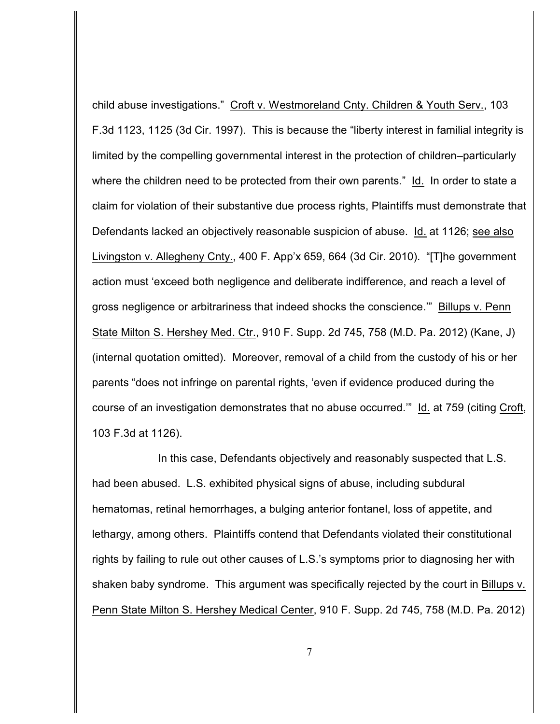child abuse investigations." Croft v. Westmoreland Cnty. Children & Youth Serv., 103 F.3d 1123, 1125 (3d Cir. 1997). This is because the "liberty interest in familial integrity is limited by the compelling governmental interest in the protection of children–particularly where the children need to be protected from their own parents." Id. In order to state a claim for violation of their substantive due process rights, Plaintiffs must demonstrate that Defendants lacked an objectively reasonable suspicion of abuse. Id. at 1126; see also Livingston v. Allegheny Cnty., 400 F. App'x 659, 664 (3d Cir. 2010). "[T]he government action must 'exceed both negligence and deliberate indifference, and reach a level of gross negligence or arbitrariness that indeed shocks the conscience.'" Billups v. Penn State Milton S. Hershey Med. Ctr., 910 F. Supp. 2d 745, 758 (M.D. Pa. 2012) (Kane, J) (internal quotation omitted). Moreover, removal of a child from the custody of his or her parents "does not infringe on parental rights, 'even if evidence produced during the course of an investigation demonstrates that no abuse occurred.'" Id. at 759 (citing Croft, 103 F.3d at 1126).

In this case, Defendants objectively and reasonably suspected that L.S. had been abused. L.S. exhibited physical signs of abuse, including subdural hematomas, retinal hemorrhages, a bulging anterior fontanel, loss of appetite, and lethargy, among others. Plaintiffs contend that Defendants violated their constitutional rights by failing to rule out other causes of L.S.'s symptoms prior to diagnosing her with shaken baby syndrome. This argument was specifically rejected by the court in Billups v. Penn State Milton S. Hershey Medical Center, 910 F. Supp. 2d 745, 758 (M.D. Pa. 2012)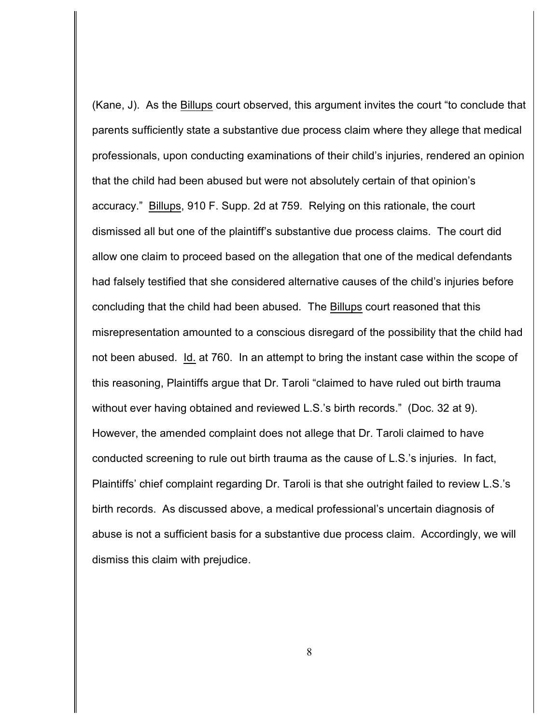(Kane, J). As the Billups court observed, this argument invites the court "to conclude that parents sufficiently state a substantive due process claim where they allege that medical professionals, upon conducting examinations of their child's injuries, rendered an opinion that the child had been abused but were not absolutely certain of that opinion's accuracy." Billups, 910 F. Supp. 2d at 759. Relying on this rationale, the court dismissed all but one of the plaintiff's substantive due process claims. The court did allow one claim to proceed based on the allegation that one of the medical defendants had falsely testified that she considered alternative causes of the child's injuries before concluding that the child had been abused*.* The Billups court reasoned that this misrepresentation amounted to a conscious disregard of the possibility that the child had not been abused. Id. at 760. In an attempt to bring the instant case within the scope of this reasoning, Plaintiffs argue that Dr. Taroli "claimed to have ruled out birth trauma without ever having obtained and reviewed L.S.'s birth records." (Doc. 32 at 9). However, the amended complaint does not allege that Dr. Taroli claimed to have conducted screening to rule out birth trauma as the cause of L.S.'s injuries. In fact, Plaintiffs' chief complaint regarding Dr. Taroli is that she outright failed to review L.S.'s birth records. As discussed above, a medical professional's uncertain diagnosis of abuse is not a sufficient basis for a substantive due process claim. Accordingly, we will dismiss this claim with prejudice.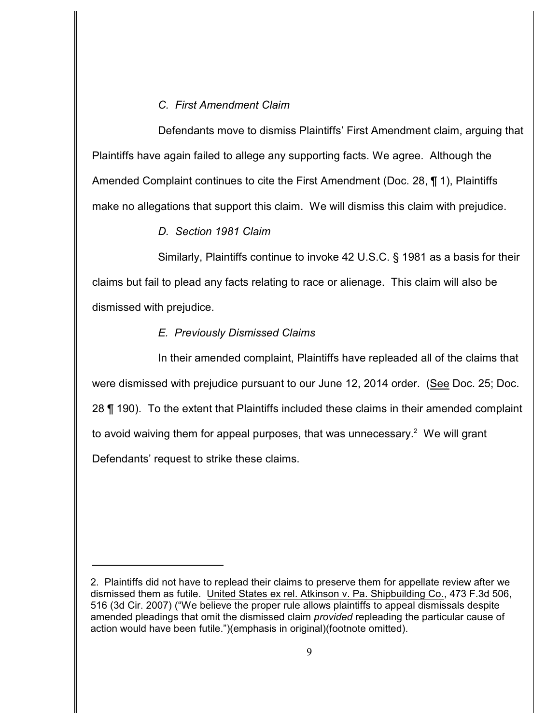# *C. First Amendment Claim*

Defendants move to dismiss Plaintiffs' First Amendment claim, arguing that Plaintiffs have again failed to allege any supporting facts. We agree. Although the Amended Complaint continues to cite the First Amendment (Doc. 28, ¶ 1), Plaintiffs make no allegations that support this claim. We will dismiss this claim with prejudice.

## *D. Section 1981 Claim*

Similarly, Plaintiffs continue to invoke 42 U.S.C. § 1981 as a basis for their claims but fail to plead any facts relating to race or alienage. This claim will also be dismissed with prejudice.

# *E. Previously Dismissed Claims*

In their amended complaint, Plaintiffs have repleaded all of the claims that were dismissed with prejudice pursuant to our June 12, 2014 order. (See Doc. 25; Doc. 28 ¶ 190). To the extent that Plaintiffs included these claims in their amended complaint to avoid waiving them for appeal purposes, that was unnecessary.<sup>2</sup> We will grant Defendants' request to strike these claims.

<sup>2.</sup> Plaintiffs did not have to replead their claims to preserve them for appellate review after we dismissed them as futile. United States ex rel. Atkinson v. Pa. Shipbuilding Co., 473 F.3d 506, 516 (3d Cir. 2007) ("We believe the proper rule allows plaintiffs to appeal dismissals despite amended pleadings that omit the dismissed claim *provided* repleading the particular cause of action would have been futile.")(emphasis in original)(footnote omitted).